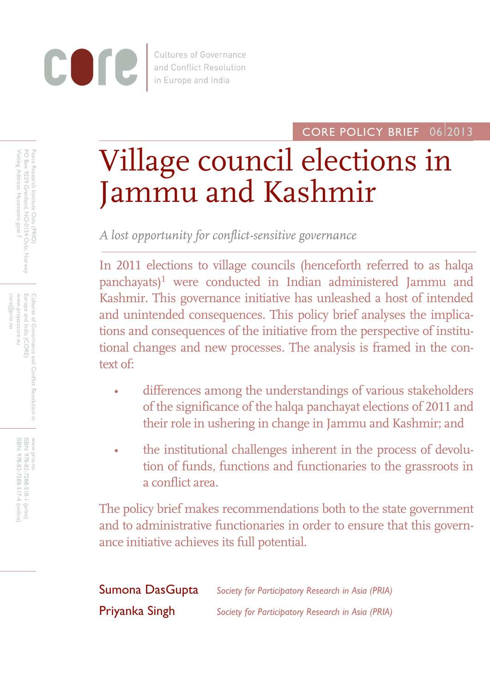

**Cultures of Governance** and Conflict Resolution in Europe and India

CORE POLICY BRIEF 06 2013

# Village council elections in Jammu and Kashmir

*A lost opportunity for conflict-sensitive governance* 

In 2011 elections to village councils (henceforth referred to as halqa panchayats)<sup>1</sup> were conducted in Indian administered Jammu and Kashmir. This governance initiative has unleashed a host of intended and unintended consequences. This policy brief analyses the implications and consequences of the initiative from the perspective of institutional changes and new processes. The analysis is framed in the context of:

- differences among the understandings of various stakeholders of the significance of the halqa panchayat elections of 2011 and their role in ushering in change in Jammu and Kashmir; and
- the institutional challenges inherent in the process of devolution of funds, functions and functionaries to the grassroots in a conflict area.

The policy brief makes recommendations both to the state government and to administrative functionaries in order to ensure that this governance initiative achieves its full potential.

| Sumona DasGupta | Society for Participatory Research in Asia (PRIA) |
|-----------------|---------------------------------------------------|
| Priyanka Singh  | Society for Participatory Research in Asia (PRIA) |

Visiting Address: Hausmanns gate 7 PO Box 9229 Grønland, NO-0134 Oslo, Norway Visiting Address: Hausmanns gate 7 PO Box 9229 Grønland, NO-0134 Oslo, Norway Peace Research Institute Oslo (PRIO) Peace Research Institute Oslo (PRIO)

www.projectcore.eu www.projectcore.eu Cultures of Govermance and Conflict Resolution in<br>Europe and India (CORE) core@prio.no Europe and India (CORE) Cultures of Governance and Conflict Resolution in

> www.prio.no<br>ISBN: 978-82-7288-518-1 (print)<br>ISBN: 978-82-7288-517-4 (online) www.prio.no 978-82-7288-518-1 (print) ISBN: 978-82-7288-517-4 (online)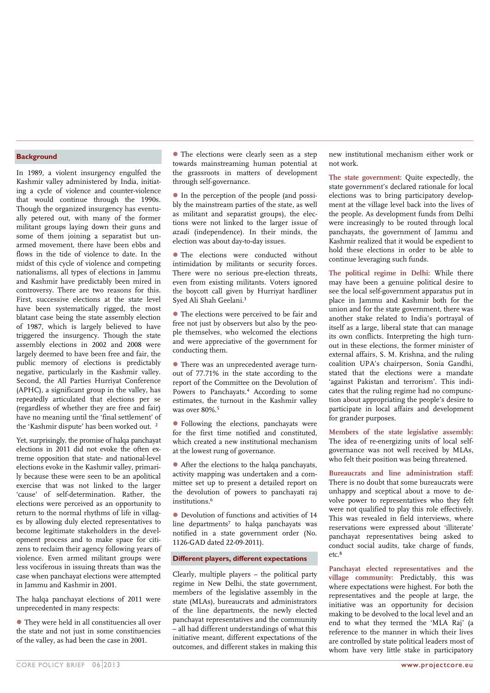## **Background**

In 1989, a violent insurgency engulfed the Kashmir valley administered by India, initiating a cycle of violence and counter-violence that would continue through the 1990s. Though the organized insurgency has eventually petered out, with many of the former militant groups laying down their guns and some of them joining a separatist but unarmed movement, there have been ebbs and flows in the tide of violence to date. In the midst of this cycle of violence and competing nationalisms, all types of elections in Jammu and Kashmir have predictably been mired in controversy. There are two reasons for this. First, successive elections at the state level have been systematically rigged, the most blatant case being the state assembly election of 1987, which is largely believed to have triggered the insurgency. Though the state assembly elections in 2002 and 2008 were largely deemed to have been free and fair, the public memory of elections is predictably negative, particularly in the Kashmir valley. Second, the All Parties Hurriyat Conference (APHC), a significant group in the valley, has repeatedly articulated that elections per se (regardless of whether they are free and fair) have no meaning until the 'final settlement' of the 'Kashmir dispute' has been worked out. 2

Yet, surprisingly, the promise of halqa panchayat elections in 2011 did not evoke the often extreme opposition that state- and national-level elections evoke in the Kashmir valley, primarily because these were seen to be an apolitical exercise that was not linked to the larger 'cause' of self-determination. Rather, the elections were perceived as an opportunity to return to the normal rhythms of life in villages by allowing duly elected representatives to become legitimate stakeholders in the development process and to make space for citizens to reclaim their agency following years of violence. Even armed militant groups were less vociferous in issuing threats than was the case when panchayat elections were attempted in Jammu and Kashmir in 2001.

The halqa panchayat elections of 2011 were unprecedented in many respects:

 They were held in all constituencies all over the state and not just in some constituencies of the valley, as had been the case in 2001.

 The elections were clearly seen as a step towards mainstreaming human potential at the grassroots in matters of development through self-governance.

- In the perception of the people (and possibly the mainstream parties of the state, as well as militant and separatist groups), the elections were not linked to the larger issue of *azadi* (independence). In their minds, the election was about day-to-day issues.
- The elections were conducted without intimidation by militants or security forces. There were no serious pre-election threats, even from existing militants. Voters ignored the boycott call given by Hurriyat hardliner Syed Ali Shah Geelani.<sup>3</sup>
- The elections were perceived to be fair and free not just by observers but also by the people themselves, who welcomed the elections and were appreciative of the government for conducting them.
- There was an unprecedented average turnout of 77.71% in the state according to the report of the Committee on the Devolution of Powers to Panchayats.<sup>4</sup> According to some estimates, the turnout in the Kashmir valley was over 80%.<sup>5</sup>
- Following the elections, panchayats were for the first time notified and constituted, which created a new institutional mechanism at the lowest rung of governance.
- After the elections to the halqa panchayats, activity mapping was undertaken and a committee set up to present a detailed report on the devolution of powers to panchayati raj institutions.<sup>6</sup>
- Devolution of functions and activities of 14 line departments<sup>7</sup> to halqa panchayats was notified in a state government order (No. 1126-GAD dated 22-09-2011).

## **Different players, different expectations**

Clearly, multiple players – the political party regime in New Delhi, the state government, members of the legislative assembly in the state (MLAs), bureaucrats and administrators of the line departments, the newly elected panchayat representatives and the community – all had different understandings of what this initiative meant, different expectations of the outcomes, and different stakes in making this

new institutional mechanism either work or not work.

**The state government:** Quite expectedly, the state government's declared rationale for local elections was to bring participatory development at the village level back into the lives of the people. As development funds from Delhi were increasingly to be routed through local panchayats, the government of Jammu and Kashmir realized that it would be expedient to hold these elections in order to be able to continue leveraging such funds.

**The political regime in Delhi:** While there may have been a genuine political desire to see the local self-government apparatus put in place in Jammu and Kashmir both for the union and for the state government, there was another stake related to India's portrayal of itself as a large, liberal state that can manage its own conflicts. Interpreting the high turnout in these elections, the former minister of external affairs, S. M. Krishna, and the ruling coalition UPA's chairperson, Sonia Gandhi, stated that the elections were a mandate 'against Pakistan and terrorism'. This indicates that the ruling regime had no compunction about appropriating the people's desire to participate in local affairs and development for grander purposes.

**Members of the state legislative assembly:** The idea of re-energizing units of local selfgovernance was not well received by MLAs, who felt their position was being threatened.

**Bureaucrats and line administration staff:** There is no doubt that some bureaucrats were unhappy and sceptical about a move to devolve power to representatives who they felt were not qualified to play this role effectively. This was revealed in field interviews, where reservations were expressed about 'illiterate' panchayat representatives being asked to conduct social audits, take charge of funds,  $etc<sup>8</sup>$ 

**Panchayat elected representatives and the village community:** Predictably, this was where expectations were highest. For both the representatives and the people at large, the initiative was an opportunity for decision making to be devolved to the local level and an end to what they termed the 'MLA Raj' (a reference to the manner in which their lives are controlled by state political leaders most of whom have very little stake in participatory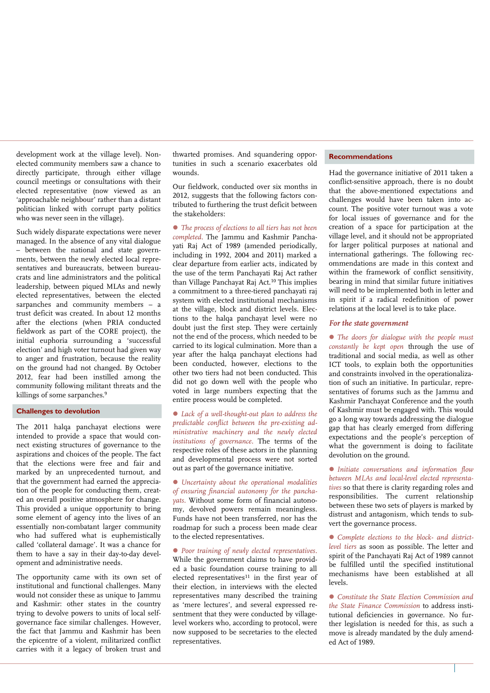development work at the village level). Nonelected community members saw a chance to directly participate, through either village council meetings or consultations with their elected representative (now viewed as an 'approachable neighbour' rather than a distant politician linked with corrupt party politics who was never seen in the village).

Such widely disparate expectations were never managed. In the absence of any vital dialogue – between the national and state governments, between the newly elected local representatives and bureaucrats, between bureaucrats and line administrators and the political leadership, between piqued MLAs and newly elected representatives, between the elected sarpanches and community members – a trust deficit was created. In about 12 months after the elections (when PRIA conducted fieldwork as part of the CORE project), the initial euphoria surrounding a 'successful election' and high voter turnout had given way to anger and frustration, because the reality on the ground had not changed. By October 2012, fear had been instilled among the community following militant threats and the killings of some sarpanches.<sup>9</sup>

### **Challenges to devolution**

The 2011 halqa panchayat elections were intended to provide a space that would connect existing structures of governance to the aspirations and choices of the people. The fact that the elections were free and fair and marked by an unprecedented turnout, and that the government had earned the appreciation of the people for conducting them, created an overall positive atmosphere for change. This provided a unique opportunity to bring some element of agency into the lives of an essentially non-combatant larger community who had suffered what is euphemistically called 'collateral damage'. It was a chance for them to have a say in their day-to-day development and administrative needs.

The opportunity came with its own set of institutional and functional challenges. Many would not consider these as unique to Jammu and Kashmir: other states in the country trying to devolve powers to units of local selfgovernance face similar challenges. However, the fact that Jammu and Kashmir has been the epicentre of a violent, militarized conflict carries with it a legacy of broken trust and

thwarted promises. And squandering opportunities in such a scenario exacerbates old wounds.

Our fieldwork, conducted over six months in 2012, suggests that the following factors contributed to furthering the trust deficit between the stakeholders:

 *The process of elections to all tiers has not been completed.* The Jammu and Kashmir Panchayati Raj Act of 1989 (amended periodically, including in 1992, 2004 and 2011) marked a clear departure from earlier acts, indicated by the use of the term Panchayati Raj Act rather than Village Panchayat Raj Act.<sup>10</sup> This implies a commitment to a three-tiered panchayati raj system with elected institutional mechanisms at the village, block and district levels. Elections to the halqa panchayat level were no doubt just the first step. They were certainly not the end of the process, which needed to be carried to its logical culmination. More than a year after the halqa panchayat elections had been conducted, however, elections to the other two tiers had not been conducted. This did not go down well with the people who voted in large numbers expecting that the entire process would be completed.

 *Lack of a well-thought-out plan to address the predictable conflict between the pre-existing administrative machinery and the newly elected institutions of governance.* The terms of the respective roles of these actors in the planning and developmental process were not sorted out as part of the governance initiative.

 *Uncertainty about the operational modalities of ensuring financial autonomy for the panchayats.* Without some form of financial autonomy, devolved powers remain meaningless. Funds have not been transferred, nor has the roadmap for such a process been made clear to the elected representatives.

 *Poor training of newly elected representatives.* While the government claims to have provided a basic foundation course training to all elected representatives<sup>11</sup> in the first year of their election, in interviews with the elected representatives many described the training as 'mere lectures', and several expressed resentment that they were conducted by villagelevel workers who, according to protocol, were now supposed to be secretaries to the elected representatives.

#### **Recommendations**

Had the governance initiative of 2011 taken a conflict-sensitive approach, there is no doubt that the above-mentioned expectations and challenges would have been taken into account. The positive voter turnout was a vote for local issues of governance and for the creation of a space for participation at the village level, and it should not be appropriated for larger political purposes at national and international gatherings. The following recommendations are made in this context and within the framework of conflict sensitivity, bearing in mind that similar future initiatives will need to be implemented both in letter and in spirit if a radical redefinition of power relations at the local level is to take place.

#### *For the state government*

 *The doors for dialogue with the people must constantly be kept open* through the use of traditional and social media, as well as other ICT tools, to explain both the opportunities and constraints involved in the operationalization of such an initiative. In particular, representatives of forums such as the Jammu and Kashmir Panchayat Conference and the youth of Kashmir must be engaged with. This would go a long way towards addressing the dialogue gap that has clearly emerged from differing expectations and the people's perception of what the government is doing to facilitate devolution on the ground.

 *Initiate conversations and information flow between MLAs and local-level elected representatives* so that there is clarity regarding roles and responsibilities. The current relationship between these two sets of players is marked by distrust and antagonism, which tends to subvert the governance process.

 *Complete elections to the block- and districtlevel tiers* as soon as possible. The letter and spirit of the Panchayati Raj Act of 1989 cannot be fulfilled until the specified institutional mechanisms have been established at all levels.

 *Constitute the State Election Commission and the State Finance Commission* to address institutional deficiencies in governance. No further legislation is needed for this, as such a move is already mandated by the duly amended Act of 1989.